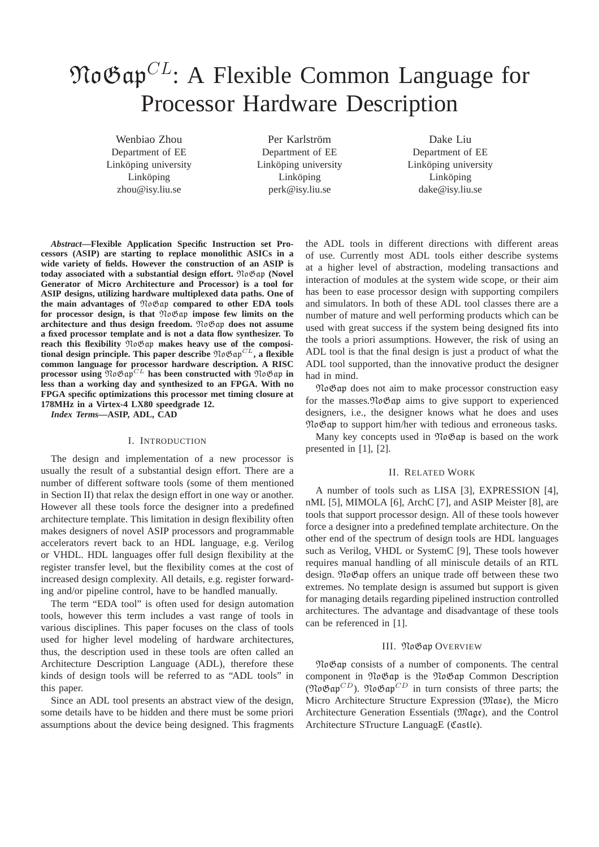# $\mathfrak{N}$ o $\mathfrak{G}$ ap $^{CL}$ : A Flexible Common Language for Processor Hardware Description

Wenbiao Zhou Department of EE Linköping university Linköping zhou@isy.liu.se

Per Karlström Department of EE Linköping university Linköping perk@isy.liu.se

Dake Liu Department of EE Linköping university Linköping dake@isy.liu.se

*Abstract***—Flexible Application Specific Instruction set Processors (ASIP) are starting to replace monolithic ASICs in a wide variety of fields. However the construction of an ASIP is today associated with a substantial design effort.** NoGap **(Novel Generator of Micro Architecture and Processor) is a tool for ASIP designs, utilizing hardware multiplexed data paths. One of the main advantages of** NoGap **compared to other EDA tools for processor design, is that** NoGap **impose few limits on the architecture and thus design freedom.** NoGap **does not assume a fixed processor template and is not a data flow synthesizer. To reach this flexibility** NoGap **makes heavy use of the composi**tional design principle. This paper describe  $\mathfrak{Mod}^{CL}$ , a flexible **common language for processor hardware description. A RISC processor using**  $\mathfrak{Mod}^{\mathbf{CL}}$  **has been constructed with**  $\mathfrak{Mod}$  in **less than a working day and synthesized to an FPGA. With no FPGA specific optimizations this processor met timing closure at 178MHz in a Virtex-4 LX80 speedgrade 12.**

*Index Terms***—ASIP, ADL, CAD**

#### I. INTRODUCTION

The design and implementation of a new processor is usually the result of a substantial design effort. There are a number of different software tools (some of them mentioned in Section II) that relax the design effort in one way or another. However all these tools force the designer into a predefined architecture template. This limitation in design flexibility often makes designers of novel ASIP processors and programmable accelerators revert back to an HDL language, e.g. Verilog or VHDL. HDL languages offer full design flexibility at the register transfer level, but the flexibility comes at the cost of increased design complexity. All details, e.g. register forwarding and/or pipeline control, have to be handled manually.

The term "EDA tool" is often used for design automation tools, however this term includes a vast range of tools in various disciplines. This paper focuses on the class of tools used for higher level modeling of hardware architectures, thus, the description used in these tools are often called an Architecture Description Language (ADL), therefore these kinds of design tools will be referred to as "ADL tools" in this paper.

Since an ADL tool presents an abstract view of the design, some details have to be hidden and there must be some priori assumptions about the device being designed. This fragments

the ADL tools in different directions with different areas of use. Currently most ADL tools either describe systems at a higher level of abstraction, modeling transactions and interaction of modules at the system wide scope, or their aim has been to ease processor design with supporting compilers and simulators. In both of these ADL tool classes there are a number of mature and well performing products which can be used with great success if the system being designed fits into the tools a priori assumptions. However, the risk of using an ADL tool is that the final design is just a product of what the ADL tool supported, than the innovative product the designer had in mind.

NoGap does not aim to make processor construction easy for the masses. No Gap aims to give support to experienced designers, i.e., the designer knows what he does and uses NoGap to support him/her with tedious and erroneous tasks.

Many key concepts used in NoGap is based on the work presented in [1], [2].

#### II. RELATED WORK

A number of tools such as LISA [3], EXPRESSION [4], nML [5], MIMOLA [6], ArchC [7], and ASIP Meister [8], are tools that support processor design. All of these tools however force a designer into a predefined template architecture. On the other end of the spectrum of design tools are HDL languages such as Verilog, VHDL or SystemC [9], These tools however requires manual handling of all miniscule details of an RTL design. No Gap offers an unique trade off between these two extremes. No template design is assumed but support is given for managing details regarding pipelined instruction controlled architectures. The advantage and disadvantage of these tools can be referenced in [1].

#### III. NoGap OVERVIEW

NoGap consists of a number of components. The central component in NoGap is the NoGap Common Description (No $\mathfrak{Cap}^{CD}$ ). No $\mathfrak{Cap}^{CD}$  in turn consists of three parts; the Micro Architecture Structure Expression (Mase), the Micro Architecture Generation Essentials (Mage), and the Control Architecture STructure LanguagE (Castle).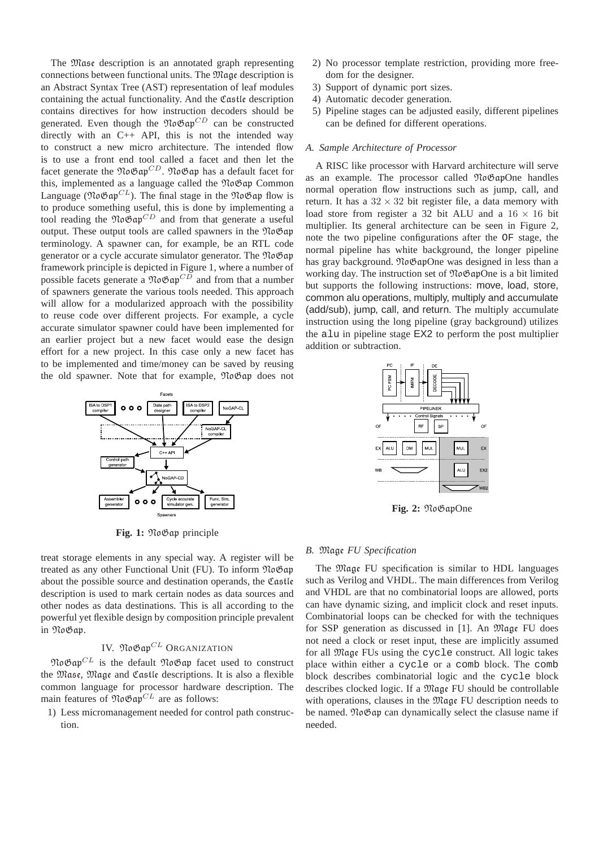The Mase description is an annotated graph representing connections between functional units. The Mage description is an Abstract Syntax Tree (AST) representation of leaf modules containing the actual functionality. And the Castle description contains directives for how instruction decoders should be generated. Even though the  $\mathfrak{Mod}^{\mathfrak{CD}}$  can be constructed directly with an C++ API, this is not the intended way to construct a new micro architecture. The intended flow is to use a front end tool called a facet and then let the facet generate the  $\mathfrak{Mod}^{CD}$ .  $\mathfrak{Mod}$  has a default facet for this, implemented as a language called the  $\mathfrak{Mod}$  Common Language ( $\Re{\phi\omega}$ ). The final stage in the  $\Re{\phi\omega}$  flow is to produce something useful, this is done by implementing a tool reading the  $\mathfrak{Mod}^{\mathfrak{CD}}$  and from that generate a useful output. These output tools are called spawners in the  $\mathfrak{N}$ o $\mathfrak{G}$ ap terminology. A spawner can, for example, be an RTL code generator or a cycle accurate simulator generator. The  $\mathfrak{N}$ o $\mathfrak{G}$ ap framework principle is depicted in Figure 1, where a number of possible facets generate a  $\mathfrak{N}o\mathfrak{C}a\mathfrak{p}^{CD}$  and from that a number of spawners generate the various tools needed. This approach will allow for a modularized approach with the possibility to reuse code over different projects. For example, a cycle accurate simulator spawner could have been implemented for an earlier project but a new facet would ease the design effort for a new project. In this case only a new facet has to be implemented and time/money can be saved by reusing the old spawner. Note that for example,  $\mathfrak{N}$ o $\mathfrak{G}$ ap does not



**Fig. 1:** NoGap principle

treat storage elements in any special way. A register will be treated as any other Functional Unit (FU). To inform  $\mathfrak N$ o $\mathfrak G$ ap about the possible source and destination operands, the Castle description is used to mark certain nodes as data sources and other nodes as data destinations. This is all according to the powerful yet flexible design by composition principle prevalent in NoGap.

## IV. No Gap<sup>CL</sup> ORGANIZATION

 $\mathfrak{Mod}^{\mathfrak{C}L}$  is the default  $\mathfrak{Mod}$  facet used to construct the Mase, Mage and Castle descriptions. It is also a flexible common language for processor hardware description. The main features of  $\mathfrak{Mod}^{\mathfrak{gl}}$  are as follows:

1) Less micromanagement needed for control path construction.

- 2) No processor template restriction, providing more freedom for the designer.
- 3) Support of dynamic port sizes.
- 4) Automatic decoder generation.
- 5) Pipeline stages can be adjusted easily, different pipelines can be defined for different operations.

## *A. Sample Architecture of Processor*

A RISC like processor with Harvard architecture will serve as an example. The processor called NoGapOne handles normal operation flow instructions such as jump, call, and return. It has a  $32 \times 32$  bit register file, a data memory with load store from register a 32 bit ALU and a  $16 \times 16$  bit multiplier. Its general architecture can be seen in Figure 2, note the two pipeline configurations after the OF stage, the normal pipeline has white background, the longer pipeline has gray background. No GapOne was designed in less than a working day. The instruction set of  $\mathfrak{Mod}$  apone is a bit limited but supports the following instructions: move, load, store, common alu operations, multiply, multiply and accumulate (add/sub), jump, call, and return. The multiply accumulate instruction using the long pipeline (gray background) utilizes the alu in pipeline stage EX2 to perform the post multiplier addition or subtraction.



**Fig. 2:** NoGapOne

## *B.* Mage *FU Specification*

The Mage FU specification is similar to HDL languages such as Verilog and VHDL. The main differences from Verilog and VHDL are that no combinatorial loops are allowed, ports can have dynamic sizing, and implicit clock and reset inputs. Combinatorial loops can be checked for with the techniques for SSP generation as discussed in [1]. An Mage FU does not need a clock or reset input, these are implicitly assumed for all Mage FUs using the cycle construct. All logic takes place within either a cycle or a comb block. The comb block describes combinatorial logic and the cycle block describes clocked logic. If a Mage FU should be controllable with operations, clauses in the *Mage FU* description needs to be named. No Gap can dynamically select the clasuse name if needed.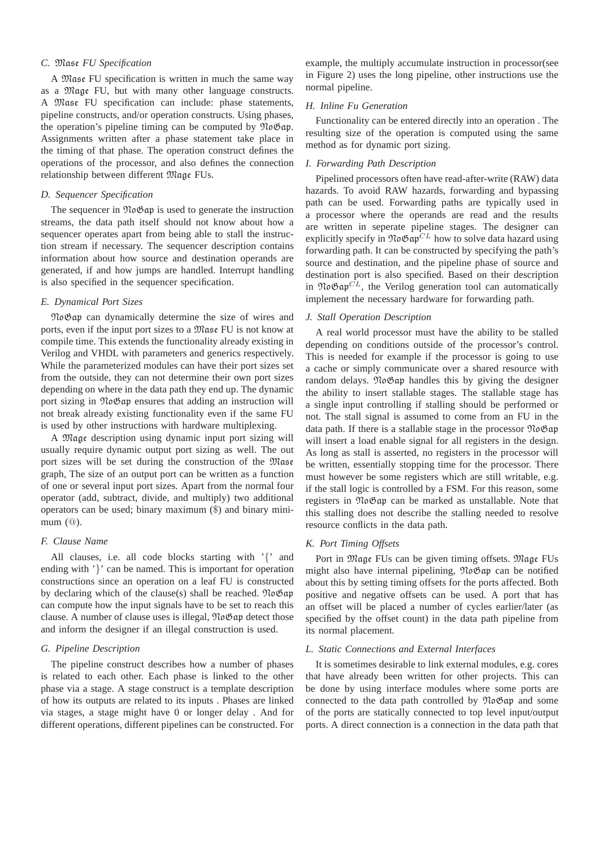## *C.* Mase *FU Specification*

A Mase FU specification is written in much the same way as a Mage FU, but with many other language constructs. A Mase FU specification can include: phase statements, pipeline constructs, and/or operation constructs. Using phases, the operation's pipeline timing can be computed by  $\mathfrak{N}$ o $\mathfrak{G}$ ap. Assignments written after a phase statement take place in the timing of that phase. The operation construct defines the operations of the processor, and also defines the connection relationship between different Mage FUs.

## *D. Sequencer Specification*

The sequencer in  $\mathfrak{Mod}$  is used to generate the instruction streams, the data path itself should not know about how a sequencer operates apart from being able to stall the instruction stream if necessary. The sequencer description contains information about how source and destination operands are generated, if and how jumps are handled. Interrupt handling is also specified in the sequencer specification.

## *E. Dynamical Port Sizes*

NoGap can dynamically determine the size of wires and ports, even if the input port sizes to a Mase FU is not know at compile time. This extends the functionality already existing in Verilog and VHDL with parameters and generics respectively. While the parameterized modules can have their port sizes set from the outside, they can not determine their own port sizes depending on where in the data path they end up. The dynamic port sizing in  $\mathfrak{Mod}$  ensures that adding an instruction will not break already existing functionality even if the same FU is used by other instructions with hardware multiplexing.

A Mage description using dynamic input port sizing will usually require dynamic output port sizing as well. The out port sizes will be set during the construction of the Mase graph, The size of an output port can be written as a function of one or several input port sizes. Apart from the normal four operator (add, subtract, divide, and multiply) two additional operators can be used; binary maximum (\$) and binary minimum (@).

#### *F. Clause Name*

All clauses, i.e. all code blocks starting with '{' and ending with '' can be named. This is important for operation constructions since an operation on a leaf FU is constructed by declaring which of the clause(s) shall be reached.  $\mathfrak{Mod}$ can compute how the input signals have to be set to reach this clause. A number of clause uses is illegal,  $\mathfrak{N}$ o $\mathfrak{G}$ ap detect those and inform the designer if an illegal construction is used.

## *G. Pipeline Description*

The pipeline construct describes how a number of phases is related to each other. Each phase is linked to the other phase via a stage. A stage construct is a template description of how its outputs are related to its inputs . Phases are linked via stages, a stage might have 0 or longer delay . And for different operations, different pipelines can be constructed. For

example, the multiply accumulate instruction in processor(see in Figure 2) uses the long pipeline, other instructions use the normal pipeline.

## *H. Inline Fu Generation*

Functionality can be entered directly into an operation . The resulting size of the operation is computed using the same method as for dynamic port sizing.

## *I. Forwarding Path Description*

Pipelined processors often have read-after-write (RAW) data hazards. To avoid RAW hazards, forwarding and bypassing path can be used. Forwarding paths are typically used in a processor where the operands are read and the results are written in seperate pipeline stages. The designer can explicitly specify in  $\mathfrak{Mod}^{\mathbb{C}L}$  how to solve data hazard using forwarding path. It can be constructed by specifying the path's source and destination, and the pipeline phase of source and destination port is also specified. Based on their description in  $\mathfrak{N}$ o $\mathfrak{G}$ ap $^{CL}$ , the Verilog generation tool can automatically implement the necessary hardware for forwarding path.

## *J. Stall Operation Description*

A real world processor must have the ability to be stalled depending on conditions outside of the processor's control. This is needed for example if the processor is going to use a cache or simply communicate over a shared resource with random delays. No Gap handles this by giving the designer the ability to insert stallable stages. The stallable stage has a single input controlling if stalling should be performed or not. The stall signal is assumed to come from an FU in the data path. If there is a stallable stage in the processor  $\mathfrak{N}$  $\mathfrak{o}$  $\mathfrak{G}$  $\mathfrak{ap}$ will insert a load enable signal for all registers in the design. As long as stall is asserted, no registers in the processor will be written, essentially stopping time for the processor. There must however be some registers which are still writable, e.g. if the stall logic is controlled by a FSM. For this reason, some registers in NoGap can be marked as unstallable. Note that this stalling does not describe the stalling needed to resolve resource conflicts in the data path.

## *K. Port Timing Offsets*

Port in Mage FUs can be given timing offsets. Mage FUs might also have internal pipelining, NoGap can be notified about this by setting timing offsets for the ports affected. Both positive and negative offsets can be used. A port that has an offset will be placed a number of cycles earlier/later (as specified by the offset count) in the data path pipeline from its normal placement.

## *L. Static Connections and External Interfaces*

It is sometimes desirable to link external modules, e.g. cores that have already been written for other projects. This can be done by using interface modules where some ports are connected to the data path controlled by  $\mathfrak{Mod}$  and some of the ports are statically connected to top level input/output ports. A direct connection is a connection in the data path that